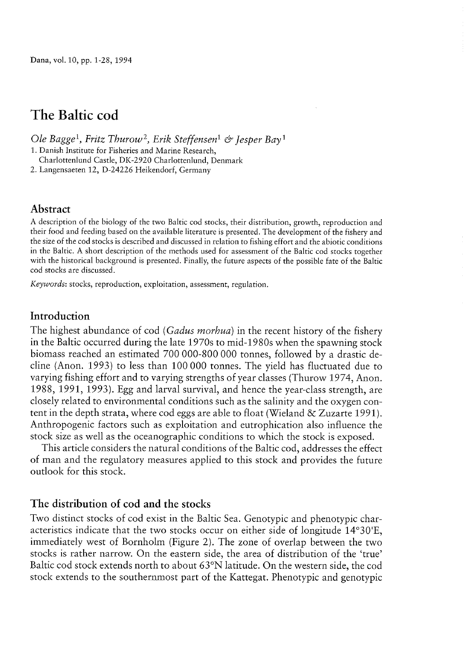# The Baltic cod

Dana, vol. 10, pp. 1-28, 1994<br> **The Baltic cod**<br>
Ole Bagge<sup>1</sup>, Fritz Thurow<sup>2</sup>, Erik Steffensen<sup>1</sup> & Jesper Bay<sup>1</sup><br>
1. Danish Institute for Fisheries and Marine Research,<br>
Charlottenlund Castle, DK-2920 Charlottenlund, Den

1. Danish Institute for Fisheries and Marine Research,

Charlottenlund Castle, DK-2920 Charlottenlund, Denmark

2. Langensaeten 12, D-24226 Heikendorf, Germany

## Abstract

A description of the biology of the two Baltic cod stocks, their distribution, growth, reproduction and their food and feeding based on the available literature is presented. The development of the fishery and the size of the cod stocks is described and discussed in relation to fishing effort and the abiotic conditions in the Baltic. A short description of the methods used for assessment of the Baltic cod stocks together with the historical background is presented. Finally, the future aspects of the possible fate of the Baltic cod stocks are discussed.

Keywords: stocks, reproduction, exploitation, assessment, regulation.

# Introduction

The highest abundance of cod (Gadus morhua) in the recent history of the fishery in the Baltic occurred during the late 1970s to mid-1980s when the spawning stock biomass reached an estimated 700 000-800 000 tonnes, followed by <sup>a</sup> drastic de dine (Anon. 1993) to less than 100 000 tonnes. The yield has fluctuated due to varying fishing effort and to varying strengths of year ciasses (Thurow 1974, Anon. 1988, 1991, 1993). Egg and larval survival, and hence the year-class strength, are closely related to environmental conditions such as the salinity and the oxygen content in the depth strata, where cod eggs are able to float (Wieland & Zuzarte 1991). Anthropogenic factors such as exploitation and eutrophication also influence the stock size as well as the oceanographic conditions to which the stock is exposed.

This article considers the natural conditions of the Baltic cod, addresses the effect of man and the regulatory measures applied to this stock and provides the future outlook for this stock.

## The distribution of cod and the stocks

Two distinct stocks of cod exist in the Baltic Sea. Genotypic and phenotypic char acteristics indicate that the two stocks occur on either side of longitude  $14°30'E$ , immediately west of Bornholm (Figure 2). The zone of overlap between the two stocks is rather narrow. On the eastern side, the area of distribution of the 'true' Baltic cod stock extends north to about 63°N latitude. On the western side, the cod stock extends to the southernmost part of the Kattegat. Phenotypic and genotypic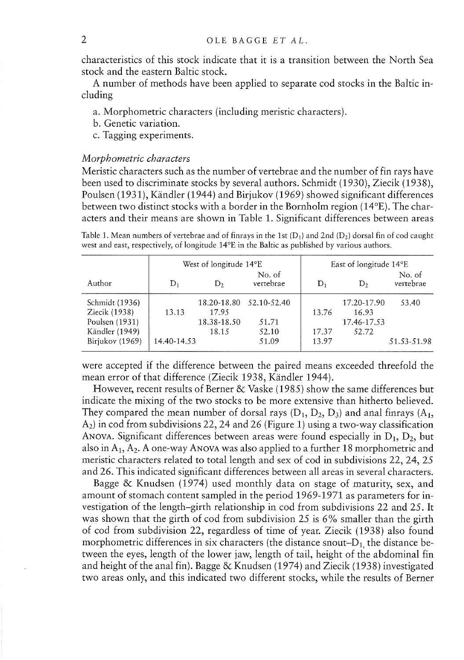characteristics of this stock indicate that it is a transition between the North Sea stock and the eastern Baltic stock.

<sup>A</sup> number of methods have been applied to separate cod stocks in the Baltic in ciuding

a. Morphometric characters (inciuding meristic characters).

b. Genetic variation.

c. Tagging experiments.

#### Morphometric characters

Meristic characters such as the number of vertebrae and the number of fin rays have been used to discriminate stocks by several authors. Schmidt (1930), Ziecik (1938), Poulsen (1931), Kändler (1944) and Birjukov (1969) showed significant differences between two distinct stocks with a border in the Bornholm region (14°E). The char acters and their means are shown in Table 1. Significant differences between areas<br>Table 1. Mean numbers of vertebrae and of finrays in the 1st  $(D_1)$  and 2nd  $(D_2)$  dorsal fin of cod caught<br>west and east respectively of

West and east, respectively, of longitude 14°E in the Baltic as published by various authors.

|                                  |             | West of longitude 14°E |                     | East of longitude 14°E |                      |                     |  |  |
|----------------------------------|-------------|------------------------|---------------------|------------------------|----------------------|---------------------|--|--|
| Author                           | D,          | D,                     | No. of<br>vertebrae | D1                     | D,                   | No. of<br>vertebrae |  |  |
| Schmidt (1936)<br>Ziecik (1938)  | 13.13       | 18.20-18.80<br>17.95   | 52.10-52.40         | 13.76                  | 17.20-17.90<br>16.93 | 53.40               |  |  |
| Poulsen (1931)<br>Kändler (1949) |             | 18.38-18.50<br>18.15   | 51.71<br>52.10      | 17.37                  | 17.46-17.53<br>52.72 |                     |  |  |
| Birjukov (1969)                  | 14.40-14.53 |                        | 51.09               | 13.97                  |                      | 51.53-51.98         |  |  |

were accepted if the difference between the paired means exceeded threefold the mean error of that difference (Ziecik 1938, Kändler 1944).

However, recerit resuits of Berner & Vaske (1985) show the same differences but indicate the mixing of the two stocks to be more extensive than hitherto believed. mean error of that difference between the paired means exceeded threefold the<br>mean error of that difference (Ziecik 1938, Kändler 1944).<br>However, recent results of Berner & Vaske (1985) show the same differences but<br>indic A<sub>2</sub>) in cod from subdivisions 22, 24 and 26 (Figure 1) using a two-way classification<br>ANOVA. Significant differences between areas were found especially in D<sub>1</sub>, D<sub>2</sub>, but<br>also in A<sub>1</sub>, A<sub>2</sub>. A one-way ANOVA was also app meristic characters related to total length and sex of cod in subdivisions 22, 24, 25 and 26. This indicated significant differences between all areas in several characters.

Bagge & Knudsen (1974) used monthly data on stage of maturity, sex, and amount of stomach content sampled in the period 1969-1971 as parameters for investigation of the length–girth relationship in cod from subdivisions 22 and 25. It was shown that the girth of cod from subdivision 25 is  $6\%$  smaller than the girth of cod from subdivision 22, regardless of time of year. Ziecik (1938) also found morphometric differences in six characters (the distance snout– $D_1$ , the distance be-A<sub>2</sub>) in cod from subdivisions 22, 24 and 26 (Figure 1) using a two-way classification<br>ANOVA. Significant differences between areas were found especially in D<sub>1</sub>, D<sub>2</sub>, but<br>also in A<sub>1</sub>, A<sub>2</sub>. A one-way ANOVA was also app tween the eyes, length of the lower jaw, length of tail, height of the abdominal fin and height of the anal fin). Bagge & Knudsen (1974) and Ziecik (1938) investigated two areas only, and this indicated two different stocks, while the results of Berner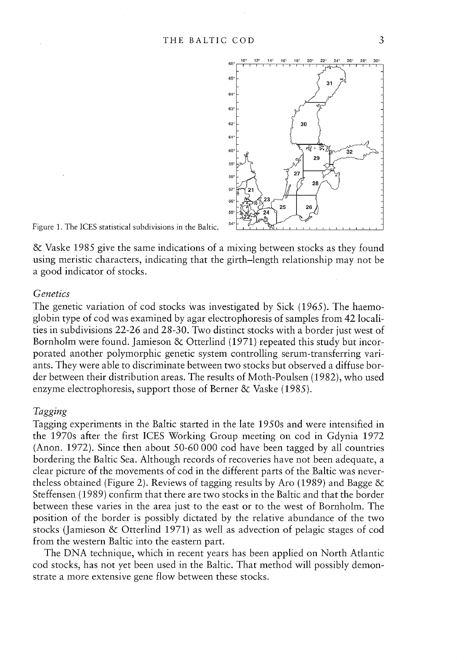

Figure 1. The ICES statistical subdivisions in the Baltic.

& Vaske 1985 give the same indications of a mixing between stocks as they found using meristic characters, indicating that the girth-length relationship may not be a good indicator of stocks.

### Genetics

The genetic variation of cod stocks was investigated by Sick (1965). The haemo globin type of cod was examined by agar electrophoresis of samples from 42 locali ties in subdivisions 22-26 and 28-30. Two distinct stocks with a border just west of Bornholm were found. Jamieson & Otterlind (1971) repeated this study but incor porated another poiymorphic genetic system controiling serum-transferring van ants. They were abie to discriminate between two stocks but observed a diffuse border between their distribution areas. The resuits of Moth-Pouisen (1982), who used enzyme electrophoresis, support those of Berner & Vaske (1985).

## Tagging

Tagging experiments in the Baitic started in the late 1950s and were intensified in the 1970s aften the first ICES Working Group meeting on cod in Gdynia 1972 (Anon. 1972). Since then about 50-60 000 cod have been tagged by ali countries bordering the Baltic Sea. Although records of recoveries have not been adequate, a clear picture of the movements of cod in the different parts of the Baltic was nevertheless obtained (Figure 2). Reviews of tagging results by Aro (1989) and Bagge & Steffensen (1989) confirm that there are two stocks in the Baitic and that the border between these varies in the area just to the east or to the west of Bornholm. The position of the border is possibly dictated by the relative abundance of the two stocks (Jamieson & Ottenlind 1971) as weil as advection of pelagic stages of cod from the western Baltic into the eastern part.

The DNA technique, which in recent years has been applied on North Atlantic cod stocks, has not yet been used in the Baltic. That method will possibly demonstrate a more extensive gene flow between these stocks.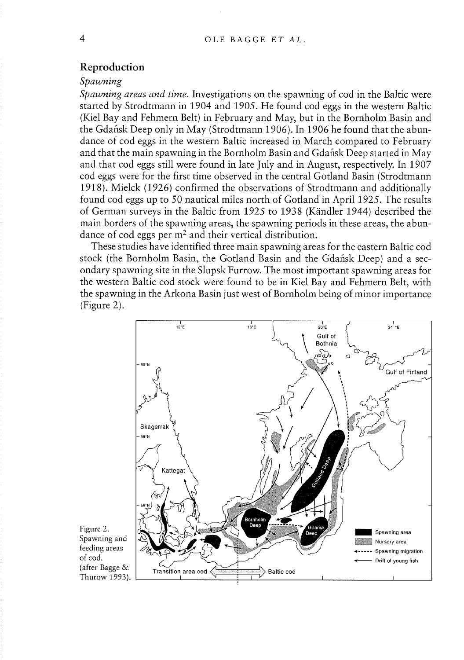## Reproduction

#### Spawning

Spawning areas and time. Investigations on the spawning of cod in the Baltic were started by Strodtmann in 1904 and 1905. He found cod eggs in the western Baltic (Kiel Bay and Fehmern Bdt) in February and May, but in the Bornholm Basin and the Gdaisk Deep only in May (Strodtmann 1906). In 1906 he found that the abun dance of cod eggs in the western Baltic increased in March compared to February and that the main spawning in the Bornholm Basin and Gdańsk Deep started in May and that cod eggs still were found in late July and in August, respectively. In 1907 cod eggs were for the first time observed in the central Gotland Basin (Strodtmann 1918). Mielck (1926) confirmed the observations of Strodtmann and additionally found cod eggs up to 50 nautical miles north of Gotland in April 1925. The results of German surveys in the Baltic from 1925 to 1938 (Kändler 1944) described the main borders of the spawning areas, the spawning periods in these areas, the abun dance of cod eggs per m<sup>2</sup> and their vertical distribution.

These studies have identified three main spawning areas for the eastern Baltic cod stock (the Bornholm Basin, the Gotland Basin and the Gdahsk Deep) and a sec ondary spawning site in the Slupsk Furrow. The most important spawning areas for the western Baltic cod stock were found to be in Kiel Bay and Fehmern Belt, with the spawning in the Arkona Basin just west of Bornholm being of minor importance (Figure 2).



Figure 2. Spawning and feeding areas of cod. (after Bagge & Thurow 1993).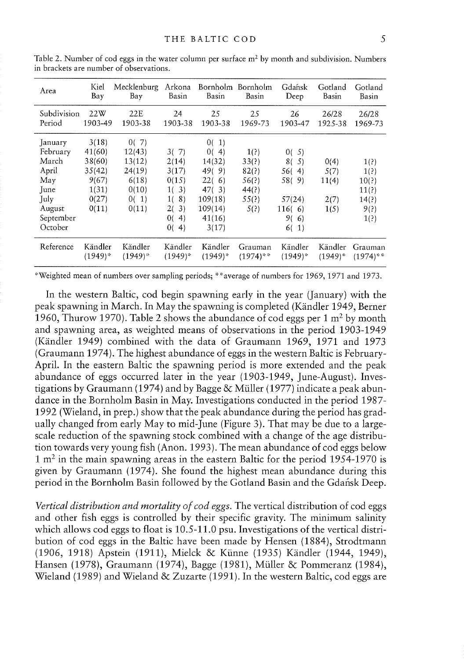| Area        | Kiel<br>Bay           | Mecklenburg<br>Bay    | Arkona<br>Basin         | Basin                 | Bornholm Bornholm<br>Basin | Gdańsk<br>Deep          | Gotland<br>Basin      | Gotland<br>Basin       |
|-------------|-----------------------|-----------------------|-------------------------|-----------------------|----------------------------|-------------------------|-----------------------|------------------------|
| Subdivision | 22W                   | 22E                   | 24                      | 25                    | 25                         | 26                      | 26/28                 | 26/28                  |
| Period      | 1903-49               | 1903-38               | 1903-38                 | 1903-38               | 1969-73                    | 1903-47                 | 1925-38               | 1969-73                |
| January     | 3(18)                 | 0(7)                  |                         | 0(1)                  |                            |                         |                       |                        |
| February    | 41(60)                | 12(43)                | 3(7)                    | 0(4)                  | 1(?)                       | 0(5)                    |                       |                        |
| March       | 38(60)                | 13(12)                | 2(14)                   | 14(32)                | 33(?)                      | 8(<br>5)                | 0(4)                  | 1(?)                   |
| April       | 35(42)                | 24(19)                | 3(17)                   | 49(9)                 | 82(?)                      | 56(4)                   | 5(7)                  | 1(?)                   |
| May         | 9(67)                 | 6(18)                 | 0(15)                   | 22(6)                 | 56(?)                      | 58(9)                   | 11(4)                 | 10(?)                  |
| June        | 1(31)                 | 0(10)                 | 1(3)                    | 47(3)                 | 44(?)                      |                         |                       | 11(?)                  |
| July        | 0(27)                 | 0(1)                  | 8)<br>1(                | 109(18)               | 55(?)                      | 57(24)                  | 2(7)                  | 14(?)                  |
| August      | 0(11)                 | 0(11)                 | 3)<br>2(                | 109(14)               | 5(?)                       | 116(6)                  | 1(5)                  | 9(?)                   |
| September   |                       |                       | 4)<br>0(                | 41(16)                |                            | 9(<br>-6)               |                       | 1(?)                   |
| October     |                       |                       | 4)<br>0(                | 3(17)                 |                            | 6(1)                    |                       |                        |
| Reference   | Kändler<br>$(1949)^*$ | Kändler<br>$(1949)^*$ | Kändler<br>$(1949)^{*}$ | Kändler<br>$(1949)^*$ | Grauman<br>$(1974)$ **     | Kändler<br>$(1949)^{*}$ | Kändler<br>$(1949)^*$ | Grauman<br>$(1974)$ ** |

Table 2. Number of cod eggs in the water column per surface  $m<sup>2</sup>$  by month and subdivision. Numbers in brackets are number of observarions.

\*Weighted mean of numbers over sampling periods; \*\*average of numbers for 1969, 1971 and 1973.

In the western Baltic, cod begin spawning early in the year (January) with the peak spawning in March. In May the spawning is completed (Kändler 1949, Berner 1960, Thurow 1970). Table 2 shows the abundance of cod eggs per  $1 \text{ m}^2$  by month and spawning area, as weighted means of observations in the period 1903-1949 (Kändler 1949) combined with the data of Graumann 1969, 1971 and 1973 (Graumann 1974). The highest abundance of eggs in the western Baltic is February April. In the eastern Baltic the spawning period is more extended and the peak abundance of eggs occurred later in the year (1903-1949, June-August). Inves tigations by Graumann (1974) and by Bagge & Müller (1977) indicate a peak abun dance in the Bornholm Basin in May. Investigations conducted in the period 1987- 1992 (Wieland, in prep.) show that the peak abundance during the period has grad ually changed from early May to mid-June (Figure 3). That may be due to a large scale reduction of the spawning stock combined with a change of the age distribu tion towards very young fish (Anon. 1993). The mean abundance of cod eggs below  $1 \text{ m}^2$  in the main spawning areas in the eastern Baltic for the period 1954-1970 is given by Graumann (1974). She found the highest mean abundance during this period in the Bornholm Basin followed by the Gotland Basin and the Gdańsk Deep.

Vertical distribution and mortality of cod eggs. The vertical distribution of cod eggs and other fish eggs is controlled by their specific gravity. The minimum salinity which allows cod eggs to float is 10.5-11.0 psu. Investigations of the vertical distribution of cod eggs in the Baltic have been made by Hensen (1884), Strodtmann (1906, 1918) Apstein (1911), Mielck & Künne (1935) Kändler (1944, 1949), Hansen (1978), Graumann (1974), Bagge (1981), Müller & Pommeranz (1984), Wieland (1989) and Wieland & Zuzarte (1991). In the western Baltic, cod eggs are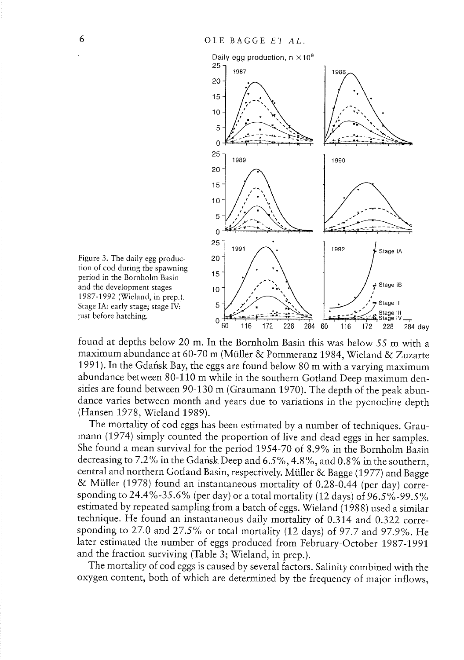

Figure 3. The daily egg produc tion of cod during the spawning period in the Bornholm Basin and the development stages 1987-1992 (Wieland, in prep.). Stage JA: early stage; stage IV: just before hatching.

found at depths below 20 m. In the Bornholm Basin this was below 55 <sup>m</sup> with <sup>a</sup> maximum abundance at 60-70 <sup>m</sup> (Müller & Pommeranz 1984, Wieland & Zuzarte 1991). In the Gdańsk Bay, the eggs are found below 80 m with a varying maximum abundance between 80-110 <sup>m</sup> while in the southern Gotland Deep maximum den sities are found between 90-130 <sup>m</sup> (Graumann 1970). The depth of the peak abun dance varies between month and years due to variations in the pycnocline depth (Hansen 1978, Wieland 1989).

The mortality of cod eggs has been estimated by <sup>a</sup> number of techniques. Grau mann (1974) simply counted the proportion of live and dead eggs in her samples. She found <sup>a</sup> mean survival for the period 1954-70 of 8.9% in the Bornholm Basin decreasing to 7.2% in the Gdafisk Deep and 6.5%, 4.8%, and 0.8% in the southern, central and northern Gotland Basin, respectively. Müller & Bagge (1977) and Bagge & Müller (1978) found an instantaneous mortality of 0.28-0.44 (per day) corre sponding to 24.4%-35.6% (per day) or <sup>a</sup> total mortality (12 days) of 96.5%-99.5% estimated by repeated sampling from <sup>a</sup> batch of eggs. Wieland (1988) used <sup>a</sup> similar technique. He found an instantaneous daily mortality of 0.314 and 0.322 corre sponding to 27.0 and 27.5% or total mortality (12 days) of 97.7 and 97.9%. He later estimated the number of eggs produced from February-October 1987-1991 and the fraction surviving (Table 3; Wieland, in prep.).

The mortality of cod eggs is caused by several factors. Salinity combined with the oxygen content, both of which are determined by the frequency of major inflows,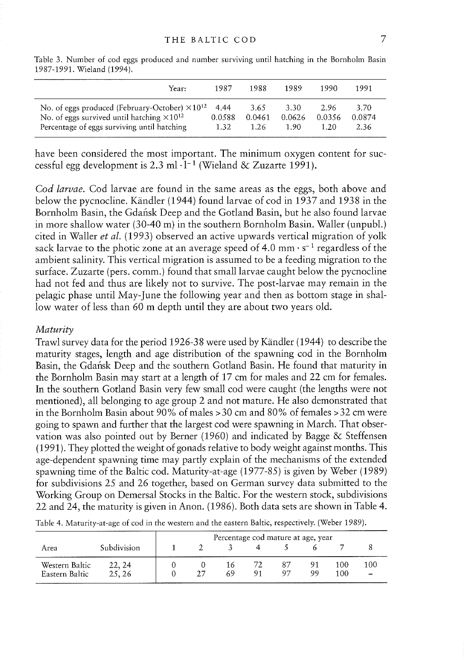| Year:                                                    | 1987   | 1988   | 1989   | 1990   | 1991   |  |
|----------------------------------------------------------|--------|--------|--------|--------|--------|--|
| No. of eggs produced (February-October) $\times 10^{12}$ | 4.44   | 3.65   | 3.30.  | 2.96   | 3.70   |  |
| No. of eggs survived until hatching $\times 10^{12}$     | 0.0588 | 0.0461 | 0.0626 | 0.0356 | 0.0874 |  |
| Percentage of eggs surviving until hatching              | 1.32   | 1.26   | 1.90   | 1.20   | 2.36   |  |

Table 3. Number of cod eggs produced and number surviving until hatching in the Bornholm Basin 1987-1991. Wieland (1994).

have been considered the most important. The minimum oxygen content for suc cessful egg development is 2.3 ml $\cdot$ l<sup>-1</sup> (Wieland & Zuzarte 1991).

God larvae. God larvae are found in the same areas as the eggs, both above and below the pycnocline. Kändler (1944) found larvae of cod in 1937 and 1938 in the Bornholm Basin, the Gdafisk Deep and the Gotland Basin, but he also found larvae in more shallow water (30-40 m) in the southern Bornholm Basin. Waller (unpubl.) cited in Waller *et al.* (1993) observed an active upwards vertical migration of yolk sack larvae to the photic zone at an average speed of 4.0 mm  $\cdot$  s<sup>-1</sup> regardless of the ambient salinity. This vertical migration is assumed to be a feeding migration to the surface. Zuzarte (pers. comm.) found that small larvae caught below the pycnocline had not fed and thus are likely not to survive. The post-larvae may remain in the pelagic phase until May-June the following year and then as bottom stage in shal low water of less than 60 m depth until they are about two years old.

#### Maturity

Trawl survey data for the period 1926-3 <sup>8</sup> were used by Kändler (1944) to describe the maturity stages, length and age distribution of the spawning cod in the Bornholm Basin, the Gdaisk Deep and the southern Gotland Basin. He found that maturity in the Bornholm Basin may start at a length of 17 cm for males and 22 cm for females. In the southern Gotland Basin very few small cod were caught (the lengths were not mentioned), all belonging to age group 2 and not mature. He also demonstrated that in the Bornholm Basin about 90% of males >30 cm and 80% of females >32 cm were going to spawn and further that the largest cod were spawning in March. That observation was also pointed out by Berner (1960) and indicated by Bagge & Steffensen (1991). They plotted the weight of gonads relative to body weight against months. This age-dependent spawning time may partly explain of the mechanisms of the extended spawning time of the Baltic cod. Maturity-at-age  $(1977-85)$  is given by Weber  $(1989)$ for subdivisions 25 and 26 together, based on German survey data submitted to the Working Group on Demersal Stocks in the Baltic. For the western stock, subdivisions 22 and 24, the maturity is given in Anon. (1986). Both data sets are shown in Table 4.

|                                  |                 | Percentage cod mature at age, year |  |          |           |  |          |            |     |  |  |  |
|----------------------------------|-----------------|------------------------------------|--|----------|-----------|--|----------|------------|-----|--|--|--|
| Area                             | Subdivision     |                                    |  |          |           |  |          |            |     |  |  |  |
| Western Baltic<br>Eastern Baltic | 22, 24<br>25.26 |                                    |  | 16<br>69 | 72.<br>91 |  | 91<br>99 | 100<br>100 | 100 |  |  |  |

Table 4. Maturity-at-age of cod in the western and the eastern Baltic, respectively. (Weber 1989).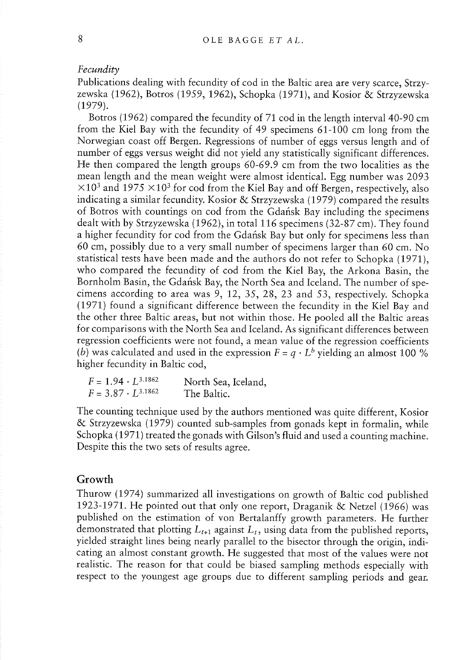#### Fecundity

Publications dealing with fecundity of cod in the Baltic area are very scarce, Strzy zewska (1962), Botros (1959, 1962), Schopka (1971), and Kosior & Strzyzewska (1979).

Botros (1962) compared the fecundity of 71 cod in the length interval 40-90 cm from the Kiel Bay with the fecundity of 49 specimens 61-100 cm long from the Norwegian coast off Bergen. Regressions of number of eggs versus length and of number of eggs versus weight did not yield any statistically significant differences. He then compared the length groups 60-69.9 cm from the two localities as the mean length and the mean weight were almost identical. Egg number was 2093 He then compared the length groups 60-69.9 cm from the two localities as the mean length and the mean weight were almost identical. Egg number was 2093  $\times 10^3$  and 1975  $\times 10^3$  for cod from the Kiel Bay and off Bergen indicating a similar fecundity. Kosior & Strzyzewska (1979) compared the resuits of Botros with countings on cod from the Gdańsk Bay including the specimens dealt with by Strzyzewska (1962), in total 116 specimens (32-87 cm). They found a higher fecundity for cod from the Gdansk Bay but only for specimens less than 60 cm, possibly due to a very small number of specimens larger than 60 cm. No statistical tests have been made and the authors do not refer to Schopka (1971), who compared the fecundity of cod from the Kiel Bay, the Arkona Basin, the Bornholm Basin, the Gdańsk Bay, the North Sea and Iceland. The number of specimens according to area was  $9, 12, 35, 28, 23$  and  $53$ , respectively. Schopka (1971) found a significant difference between the fecundity in the Kiel Bay and the other three Baltic areas, but not within those. He pooled all the Baltic areas for comparisons with the North Sea and Iceland. As significant differences between regression coefficients were not found, a mean value of the regression coefficients (b) was calculated and used in the expression  $F = q \cdot L^b$  yielding an almost 100 % (b) was calculated and used in the expression<br>higher fecundity in Baltic cod,<br> $F = 1.94 \cdot L^{3.1862}$  North Sea, Iceland,<br> $F = 3.87 \cdot L^{3.1862}$  The Baltic

| guer recuntity in Danie cod, |                     |
|------------------------------|---------------------|
| $F = 1.94 \cdot L^{3.1862}$  | North Sea, Iceland, |
| $F = 3.87 \cdot L^{3.1862}$  | The Baltic.         |

The counting technique used by the authors mentioned was quite different, Kosior & Strzyzewska (1979) counted sub-samples from gonads kept in formalin, whiie Schopka (1971) treated the gonads with Gilson's fluid and used a counting machine. Despite this the two sets of resuits agree.

## Growth

Thurow (1974) summarized ali investigations on growth of Baltic cod published 1923-1971. He pointed out that only one report, Draganik & Netzel (1966) was published on the estimation of von Bertalanffy growth parameters. He further<br>demonstrated that plotting  $L_{t+1}$  against  $L_t$ , using data from the published reports, yielded straight lines being nearly parallel to the bisector through the origin, mdi cating an almost constant growth. He suggested that most of the values were not realistic. The reason for that could be biased sampling methods especially with respect to the youngest age groups due to different sampling periods and gear.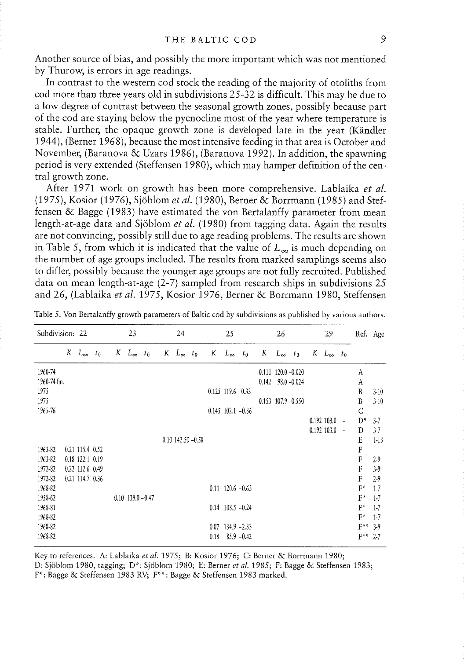Another source of bias, and possibly the more important which was not mentioned by Thurow, is errors in age readings.

In contrast to the western cod stock the reading of the majority of otoliths from cod more than three years old in subdivisions 25-32 is difficult. This may be due to a low degree of contrast between the seasonal growth zones, possibly because part of the cod are staying below the pycnocline most of the year where temperature is stable. Further, the opaque growth zone is developed late in the year (Kåndler 1944), (Berner 1968), because the most intensive feeding in that area is October and November, (Baranova & Uzars 1986), (Baranova 1992). In addition, the spawning period is very extended (Steffensen 1980), which may hamper definition of the cen tral growth zone.

After 1971 work on growth has been more comprehensive. Lablaika et al. (1975), Kosior (1976), Sjöblom et al. (1980), Berner & Borrmann (1985) and Steffensen & Bagge (1983) have estimated the von Bertalanffy parameter from mean length-at-age data and Sjöblom et al. (1980) from tagging data. Again the results are not convincing, possibly still due to age reading problems. The results are shown in Table 5, from which it is indicated that the value of  $L_{\infty}$  is much depending on the number of age groups included. The resuits from marked samplings seems also to differ, possibly because the younger age groups are not fully recruited. Published data on mean length-at-age (2-7) sampled from research ships in subdivisions 25 and 26, (Lablaika et al. 1975, Kosior 1976, Berner & Borrmann 1980, Steffensen

| Subdivision: 22                        |   |                                    |         |   | 23                   |   | 24           |                       |              | 25                     |               |       | 26                      |                   |   | 29                         |                                    | Ref. Age             |                              |
|----------------------------------------|---|------------------------------------|---------|---|----------------------|---|--------------|-----------------------|--------------|------------------------|---------------|-------|-------------------------|-------------------|---|----------------------------|------------------------------------|----------------------|------------------------------|
|                                        | K | $L_{\infty}$                       | $t_{0}$ | Κ | $L_{\infty}$ $t_0$   | Κ | $L_{\infty}$ | $t_0$                 | Κ            | $L_{\infty}$           | $-t_0$        | К     | $L_{\infty}$            | $t_{\rm 0}$       | K | $L_{\infty}$               | $t_0$                              |                      |                              |
| 1960-74<br>1960-74 fm.<br>1975<br>1975 |   |                                    |         |   |                      |   |              |                       |              | 0.125 119.6 0.33       |               | 0.142 | $0.111$ $120.0 - 0.020$ | $98.0 - 0.024$    |   |                            |                                    | A<br>A<br>B          | $3-10$                       |
| 1965-76                                |   |                                    |         |   |                      |   |              |                       |              | $0.145$ $102.1 - 0.36$ |               |       |                         | 0.153 107.9 0.550 |   | 0.192 103.0<br>0.192 103.0 | $\sim$<br>$\overline{\phantom{a}}$ | B<br>C<br>D,<br>D    | $3-10$<br>$3 - 7$<br>$3 - 7$ |
| 1963-82                                |   | 0.21 115.4 0.52                    |         |   |                      |   |              | $0.10$ 142.50 $-0.58$ |              |                        |               |       |                         |                   |   |                            |                                    | E<br>F               | $1-13$                       |
| 1963-82<br>1972-82                     |   | 0.18 122.1 0.19<br>0.22 112.6 0.49 |         |   |                      |   |              |                       |              |                        |               |       |                         |                   |   |                            |                                    | F<br>F               | $2 - 9$<br>$3-9$             |
| 1972-82<br>1968-82<br>1958-62          |   | 0.21 114.7 0.36                    |         |   | $0.10$ 139.0 $-0.47$ |   |              |                       |              | $0.11$ 120.6 $-0.63$   |               |       |                         |                   |   |                            |                                    | F<br>F*<br>F۰        | 2.9<br>$1-7$<br>$1 - 7$      |
| 1968-81<br>1968-82                     |   |                                    |         |   |                      |   |              |                       |              | $0.14$ $108.5 - 0.24$  |               |       |                         |                   |   |                            |                                    | $F^*$<br>$F^*$       | $1-7$<br>$1 - 7$             |
| 1968-82<br>1968-82                     |   |                                    |         |   |                      |   |              |                       | 0.07<br>0.18 | $134.9 - 2.33$         | $85.9 - 0.42$ |       |                         |                   |   |                            |                                    | $F^{**}$<br>$F^{**}$ | $3-9$<br>$2 - 7$             |

Table 5. Von Bertalanffy growth parameters of Baltic cod by subdivisions as published by various authors.

Key to references. A: Lablaika et al. 1975; B: Kosior 1976; C: Berner & Borrmann 1980;

D: Sjöblom 1980, tagging; D\*: Sjöblom 1980; E: Berner et al. 1985; F: Bagge & Steffensen 1983;

F\*: Bagge & Steffensen 1983 RV; F\*\*: Bagge & Steffensen 1983 marked.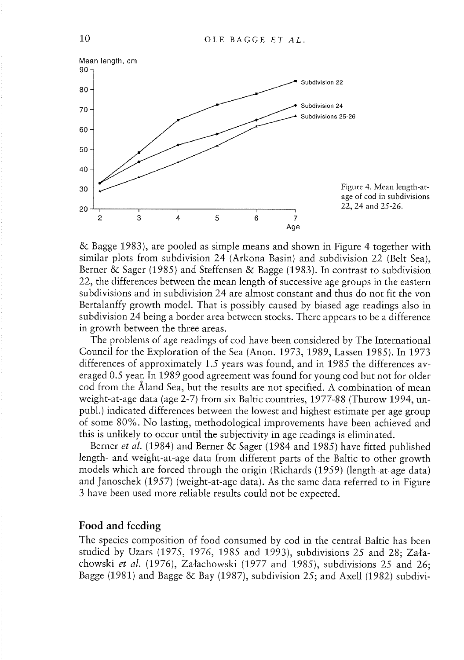

age of cod in subdivisions

& Bagge 1983), are pooled as simple means and shown in Figure 4 together with similar plots from subdivision 24 (Arkona Basin) and subdivision 22 (Belt Sea), Berner & Sager (1985) and Steffensen & Bagge (1983). In contrast to subdivision 22, the differences between the mean length of successive age groups in the eastern subdivisions and in subdivision 24 are almost constant and thus do not fit the von Bertalanffy growth model. That is possibly caused by biased age readings also in subdivision 24 being a border area between stocks. There appears to be a difference in growth between the three areas.

The problems of age readings of cod have been considered by The International Council for the Exploration of the Sea (Anon. 1973, 1989, Lassen 1985). In 1973 differences of approximately 1.5 years was found, and in 1985 the differences av eraged 0.5 year. In 1989 good agreement was found for young cod but not for older cod from the Åland Sea, but the results are not specified. A combination of mean weight-at-age data (age 2-7) from six Baltic countries, 1977-88 (Thurow 1994, unpubl.) indicated differences between the lowest and highest estimate per age group of some 80%. No lasting, methodological improvements have been achieved and this is unlikely to occur until the subjectivity in age readings is eliminated.

Berner et al. (1984) and Berner & Sager (1984 and 1985) have fitted published length- and weight-at-age data from different parts of the Baltic to other growth models which are forced through the origin (Richards (1959) (length-at-age data) and Janoschek (1957) (weight-at-age data). As the same data referred to in Figure 3 have been used more reliable results could not be expected.

## Food and feeding

The species composition of food consumed by cod in the central Baltic has been studied by Uzars (1975, 1976, 1985 and 1993), subdivisions 25 and 28; Załachowski et al. (1976), Załachowski (1977 and 1985), subdivisions 25 and 26; Bagge (1981) and Bagge & Bay (1987), subdivision 25; and Axell (1982) subdivi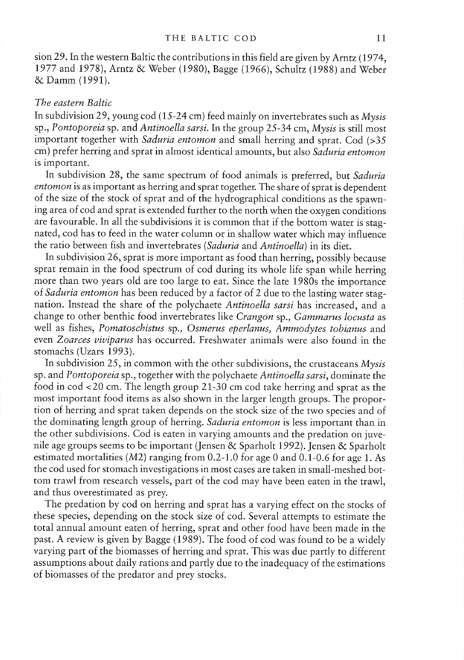sion 29. In the western Baltic the contributions in this field are given by Arntz (1974, 1977 and 1978), Arntz & Weber (1980), Bagge (1966), Schultz (1988) and Weber & Damm (1991).

## The eastern Baltic

In subdivision 29, young cod (15-24 cm) feed mainly on invertebrates such as Mysis<br>sp., Pontoporeia sp. and Antinoella sarsi. In the group 25-34 cm, Mysis is still most important together with Saduria entomon and small herring and sprat. Cod (>35 cm) prefer herring and sprat in almost identical amounts, but also Saduria entomon is important.

In subdivision 28, the same spectrum of food animals is preferred, but Saduria entomon is as important as herring and sprat together. The share of sprat is dependent of the size of the stock of sprat and of the hydrographical conditions as the spawn ing area of cod and sprat is extended further to the north when the oxygen conditions are favourable. In ali the subdivisions it is common that if the bottom water is stag nated, cod has to feed in the water column or in shallow water which may influence the ratio between fish and invertebrates (Saduria and Antinoella) in its diet.

In subdivision 26, sprat is more important as food than herring, possibly because sprat remain in the food spectrum of cod during its whoie life span while herring more than two years old are too large to eat. Since the late 1980s the importance of *Saduria entomon* has been reduced by a factor of 2 due to the lasting water stagnation. Instead the share of the polychaete Antinoella sarsi has increased, and a change to other benthic food invertebrates like Crangon sp., Gammarus locusta as well as fishes, Pomatoschistus sp., Osmerus eperlanus, Ammodytes tobianus and even Zoarces viviparus has occurred. Freshwater animals were also found in the stomachs (Uzars 1993).

In subdivision 25, in common with the other subdivisions, the crustaceans Mysis sp. and Pontoporeia sp., together with the polychaete Antinoella sarsi, dominate the food in  $\cot$  <20 cm. The length group 21-30 cm cod take herring and sprat as the most important food items as also shown in the larger length groups. The propor tion of herring and sprat taken depends on the stock size of the two species and of the dominating length group of herring. Saduria entomon is less important than in the other subdivisions. Cod is eaten in varying amounts and the predation on juvenile age groups seems to be important (Jensen & Sparholt 1992). Jensen & Sparhoit estimated mortalities (M2) ranging from 0.2-1.0 for age 0 and 0.1-0.6 for age 1. As the cod used for stomach investigations in most cases are taken in small-meshed bot tom trawl from research vesseis, part of the cod may have been eaten in the trawi, and thus overestimated as prey.

The predation by cod on herring and sprat has a varying effect on the stocks of these species, depending on the stock size of cod. Several attempts to estimate the total annual amount eaten of herring, sprat and other food have been made in the past. A review is given by Bagge (1989). The food of cod was found to be a widely varying part of the biomasses of herring and sprat. This was due partly to different assumptions about daily rations and partly due to the inadequacy of the estimations of biomasses of the predator and prey stocks.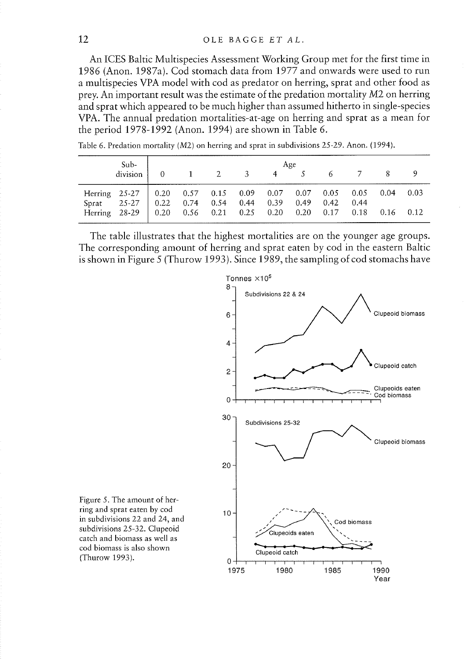An ICES Baltic Multispecies Assessment Working Group met for the first time in 1986 (Anon. 1987a). Cod stomach data from 1977 and onwards were used to run a multispecies VPA model with cod as predator on herring, sprat and other food as prey. An important result was the estimate of the predation mortality M2 on herring and sprat which appeared to be much higher than assumed hitherto in single-species VPA. The annual predation mortalities-at-age on herring and sprat as a mean for the period 1978-1992 (Anon. 1994) are shown in Table 6.

Table 6. Predation mortality (M2) on herring and sprat in subdivisions 25-29. Anon. (1994).

|               | Sub-                                                      |          |             |                      |                |                | Age          |              |              |      |      |
|---------------|-----------------------------------------------------------|----------|-------------|----------------------|----------------|----------------|--------------|--------------|--------------|------|------|
|               | division                                                  | $\sim$ 0 | $1 \quad 2$ |                      | $\overline{3}$ | $\overline{4}$ |              |              |              |      |      |
|               | Herring $25-27$   0.20 0.57 0.15 0.09<br>$Sprat \t 25-27$ | 0.22     | $0.74$ 0.54 |                      | 0.44           | 0.07<br>0.39   | 0.07<br>0.49 | 0.05<br>0.42 | 0.05<br>0.44 | 0.04 | 0.03 |
| Herring 28-29 |                                                           | 0.20     |             | $0.56$ $0.21$ $0.25$ |                | 0.20           | 0.20         | 0.17         | 0.18         | 0.16 | 0.12 |

The table illustrates that the highest mortalities are on the younger age groups. The corresponding amount of herring and sprat eaten by cod in the eastern Baltic is shown in Figure 5 (Thurow 1993). Since 1989, the sampling of cod stomachs have



Figure 5. The amount of herring and sprat eaten by cod in subdivisions 22 and 24, and subdivisions 25-32. Clupeoid catch and biomass as well as cod biomass is also shown Cod biomass is also shown<br>(Thurow 1993).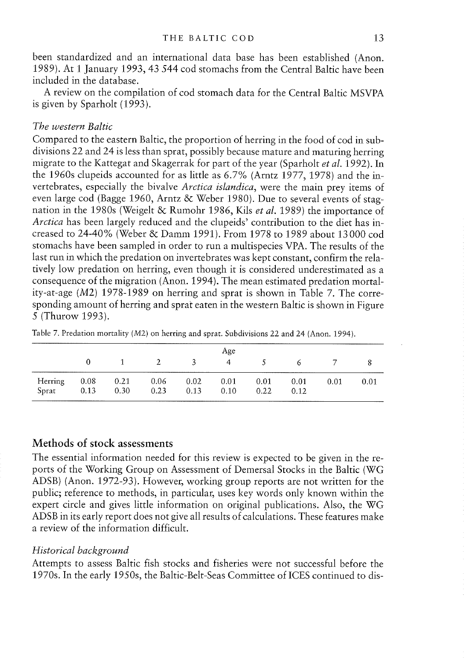been standardized and an international data base has been established (Anon. 1989). At <sup>1</sup> January 1993, 43 544 cod stomachs from the Central Baltic have been inciuded in the database.

A review on the compilation of cod stomach data for the Central Baltic MSVPA is given by Sparholt (1993).

## The western Baltic

Compared to the eastern Baltic, the proportion of herring in the food of cod in sub divisions 22 and 24 is less than sprat, possibly because mature and maturing herring migrate to the Kattegat and Skagerrak for part of the year (Sparholt et al. 1992). In the 1960s ciupeids accounted for as little as 6.7% (Arntz 1977, 1978) and the in vertebrates, especially the bivalve *Arctica islandica*, were the main prev items of even large cod (Bagge 1960, Arntz & Weber 1980). Due to several events of stag nation in the 1980s (Weigelt & Rumohr 1986, Kils et al. 1989) the importance of Arctica has been largely reduced and the clupeids' contribution to the diet has in creased to 24-40% (Weber & Damm 1991). From 1978 to 1989 about 13000 cod stomachs have been sampled in order to run a multispecies VPA. The resuits of the last run in which the predation on invertebrates was kept constant, confirm the rela tively low predation on herring, even though it is considered underestimated as a consequence of the migration (Anon. 1994). The mean estimated predation mortal ity-at-age (M2) 1978-1989 on herring and sprat is shown in Table 7. The corre sponding amount of herring and sprat eaten in the western Baltic is shown in Figure 5 (Thurow 1993).

|                  | Age          |              |              |                      |              |              |              |      |      |  |  |  |  |
|------------------|--------------|--------------|--------------|----------------------|--------------|--------------|--------------|------|------|--|--|--|--|
|                  |              |              |              | $\ddot{\phantom{1}}$ | 4            |              |              |      |      |  |  |  |  |
| Herring<br>Sprat | 0.08<br>0.13 | 0.21<br>0.30 | 0.06<br>0.23 | 0.02<br>0.13         | 0.01<br>0.10 | 0.01<br>0.22 | 0.01<br>0.12 | 0.01 | 0.01 |  |  |  |  |

Table 7. Predation mortality (M2) on herting and sprat. Subdivisions 22 and 24 (Anon. 1994).

## Methods of stock assessments

The essential information needed for this review is expected to be given in the re ports of the Working Group on Assessment of Demersal Stocks in the Baltic (WG ADSB) (Anon. 1972-93). However, working group reports are not written for the public; reference to methods, in particular, uses key words only known within the expert circie and gives little information on original publications. Also, the WG ADSB in its early report does not give ali resuits of caiculations. These features make a review of the information difficuit.

## Historical background

Attempts to assess Baltic fish stocks and fisheries were not successfui before the 1970s. In the early 1950s, the Baltic-Belt-Seas Committee of ICES continued to dis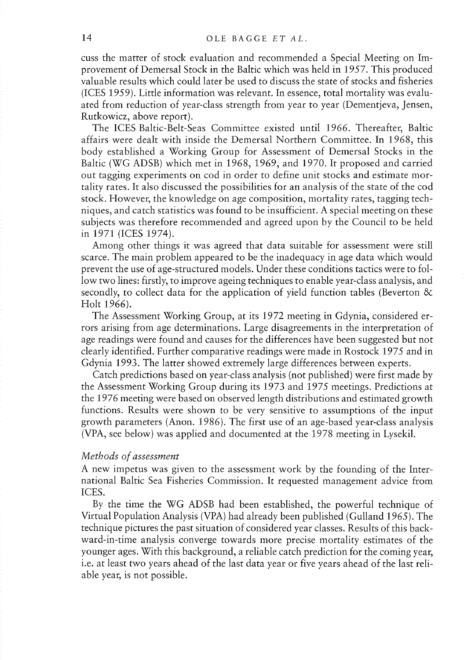cuss the matter of stock evaluation and recommended <sup>a</sup> Special Meeting on Im provement of Demersal Stock in the Baltic which was held in 1957. This produced valuable results which could later be used to discuss the state of stocks and fisheries (ICES 1959). Little information was relevant. In essence, total mortality was evalu ated from reduction of year-class strength from year to year (Dementjeva, Jensen, Rutkowicz, above report).

The ICES Baltic-Belt-Seas Committee existed until 1966. Thereafter, Baltic affairs were dealt with inside the Demersal Northern Committee. In 1968, this body established a Working Group for Assessment of Demersal Stocks in the Baltic (WG ADSB) which met in 1968, 1969, and 1970. Tt proposed and carried out tagging experiments on cod in order to define unit stocks and estimate mortality rates. Tt also discussed the possibilities for an analysis of the state of the cod stock. However, the knowledge on age composition, mortality rates, tagging tech niques, and catch statistics was found to be insufficient. A special meeting on these subjects was therefore recommended and agreed upon by the Council to be held in 1971 (ICES 1974).

Among other things it was agreed that data suitable for assessment were still scarce. The main problem appeared to be the inadequacy in age data which would prevent the use of age-structured models. Under these conditions tactics were to fol low two lines: firstly, to improve ageing techniques to enable year-class analysis, and secondly, to collect data for the application of yield function tables (Beverton & Holt 1966).

The Assessment Working Group, at its 1972 meeting in Gdynia, considered er rors arising from age determinations. Large disagreements in the interpretation of age readings were found and causes for the differences have been suggested but not clearly identified. Further comparative readings were made in Rostock 1975 and in Gdynia 1993. The latter showed extremely large differences between experts.

Catch predictions based on year-class analysis (not published) were first made by the Assessment Working Group during its 1973 and 1975 meetings. Predictions at the 1976 meeting were based on observed length distributions and estimated growth functions. Resuits were shown to be very sensitive to assumptions of the input growth parameters (Anon. 1986). The first use of an age-based year-class analysis (VPA, see below) was applied and documented at the 1978 meeting in Lysekil.

#### Methods of assessment

A new impetus was given to the assessment work by the founding of the Inter national Baltic Sea Fisheries Commission. Tt requested management advice from ICES.

By the time the WG ADSB had been established, the powerful technique of Virtual Population Analysis (VPA) had already been published (Gulland 1965). The technique pictures the past situation of considered year classes. Resuits of this back ward-in-time analysis converge towards more precise mortality estimates of the younger ages. With this background, a reliable catch prediction for the coming year, i.e. at least two years ahead of the last data year or five years ahead of the last reli able year, is not possible.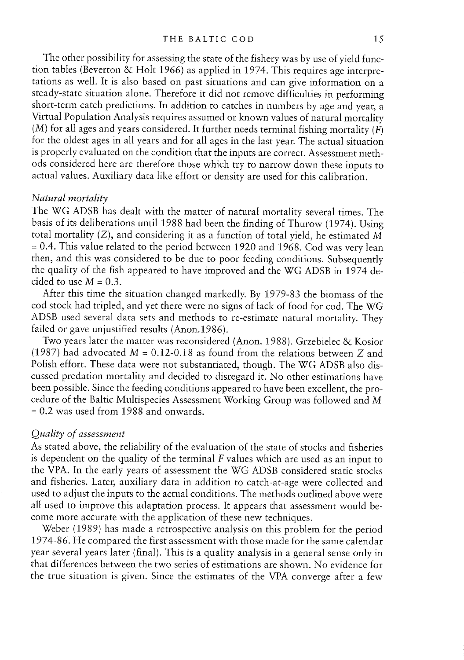The other possibility for assessing the state of the fishery was by use of yield func tion tabies (Beverton & Holt 1966) as appiied in 1974. This requires age interpre tations as well. Tt is also based on past situations and can give information on <sup>a</sup> steady-state situation alone. Therefore it did not remove difficuities in performing short-term catch predictions. In addition to catches in numbers by age and year, a Virtual Population Analysis requires assurned or known values of natural mortality  $(M)$  for all ages and vears considered. It further needs terminal fishing mortality  $(F)$ for the oldest ages in ali years and for ali ages in the last year. The actual situation is properly evaluated on the condition that the inputs are correct. Assessment meth ods considered here are therefore those which try to narrow down these inputs to actual values. Auxiliary data like effort or density are used for this calibration.

#### Natural mortality

The WG ADSB has dealt with the matter of natural mortality several times. The basis of its deliberations untii 1988 had been the finding of Thurow (1974). Using total mortality (Z), and considering it as a function of total yield, he estimated M <sup>=</sup> 0.4. This vaiue reiated to the period between 1920 and 1968. Cod was very iean then, and this was considered to be due to poor feeding conditions. Subsequentlv the quality of the fish appeared to have improved and the WG ADSB in 1974 de cided to use  $M = 0.3$ .

After this time the situation changed markedly. By 1979-83 the biomass of the cod stock had tripied, and yet there were no signs of lack of food for cod. The WG ADSB used severai data sets and methods to re-estimate natural mortality. They faiied or gave unjustified results (Anon.1986).

Two years later the matter was reconsidered (Anon. 1988). Grzebielec & Kosior (1987) had advocated  $M = 0.12$ -0.18 as found from the relations between Z and Polish effort. These data were not substantiated, though. The WG ADSB aiso dis cussed predation mortahty and decided to disregard it. No other estimations have been possible. Since the feeding conditions appeared to have been excellent, the pro cedure of the Baltic Multispecies Assessment Working Group was followed and M = 0.2 was used from 1988 and onwards.

## Quality of assessrnent

As stated above, the reliability of the evaluation of the state of stocks and fisheries is dependent on the quality of the terminal  $F$  values which are used as an input to the VPA. In the early years of assessment the WG ADSB considered static stocks and fisheries. Later, auxiliary data in addition to catch-at-age were collected and used to adjust the inputs to the actual conditions. The methods outlined above were ali used to improve this adaptation process. Tt appears that assessment would be come more accurate with the application of these new techniques.

Weber (1989) has made a retrospective analysis on this problem for the period 1974-86. He compared the first assessment with those made for the same calendar year several years later (firial). This is a quality analysis in a general sense only in that differences between the two series of estimations are shown. No evidence for the true situation is given. Since the estimates of the VPA converge after a few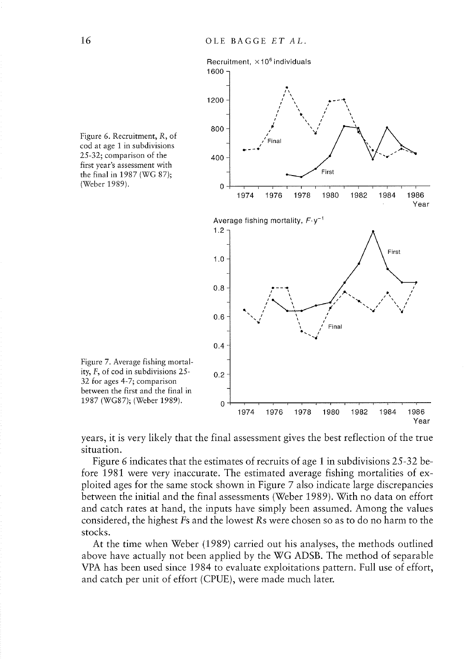

Figure 7. Average fishing mortal ity,  $F$ , of cod in subdivisions 25-  $0.2$ 32 for ages 4-7; comparison between the first and the final in 1987 (WG87); (Weber 1989). 0

years, it is very likely that the final assessment gives the best reflection of the true situation.

Figure 6 indicates that the estimates of recruits of age 1 in subdivisions  $25-32$  before 1981 were very inaccurate. The estimated average fishing mortalities of ex ploited ages for the same stock shown in Figure  $7$  also indicate large discrepancies between the initial and the final assessments (Weber 1989). With no data on effort and catch rates at hand, the inputs have simply been assumed. Among the values considered, the highest Fs and the lowest Rs were chosen so as to do no harm to the stocks.

At the time when Weber (1989) carried out his analyses, the methods outlined above have actually not been applied by the WG ADSB. The method of separable VPA has been used since 1984 to evaluate exploitations pattern. Full use of effort, and catch per unit of effort (CPUE), were made much later.

Figure 6. Recruitment, R, of cod at age <sup>1</sup> in subdivisions  $25-32$ ; comparison of the  $400$ first year's assessment with the final in 1987 (WG 87); (Weber 1989).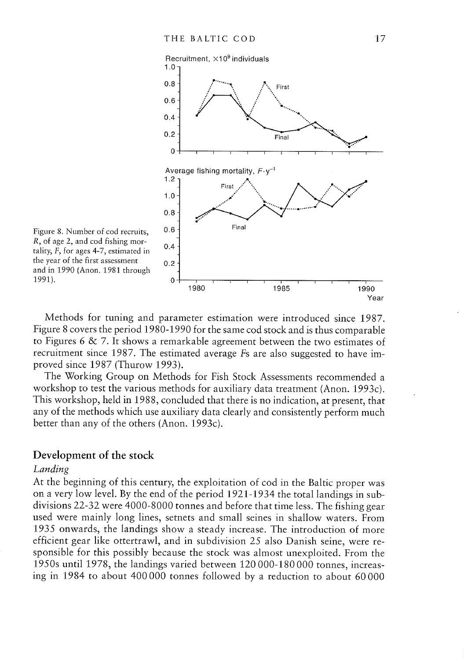

Figure 8. Number of cod recruits,  $0.6 - R$ , of age 2, and cod fishing morr, or age 2, and cod itsimig mor-<br>tality,  $F$ , for ages 4-7, estimated in 0.4 the year of the first assessment 0.2 and in 1990 (Anon. 1981 through 1991).  $0 + 1980$ 

Methods for tuning and parameter estimation were introduced since 1987. Figure <sup>8</sup> covers the period 1980-1990 for the same cod stock and is thus comparable to Figures <sup>6</sup> & 7. Tt shows a remarkable agreement between the two estimates of recruitment since 1987. The estimated average Fs are also suggested to have im proved since 1987 (Thurow 1993).

The Working Group on Methods for Fish Stock Assessments recommended a workshop to test the various methods for auxiliary data treatment (Anon. 1993c). This workshop, held in 1988, conciuded that there is no indication, at present, that any of the methods which use auxiliary data clearly and consistently perform much better than any of the others (Anon. 1993c).

## Development of the stock

## Landing

At the beginning of this century, the exploitation of cod in the Baltic proper was on a very low level. By the end of the period 1921-1934 the total landings in sub divisions 22-32 were 4000-8000 tonnes and before that time less. The fishing gear used were mainly long lines, setnets and small seines in shallow waters. From 1935 onwards, the landings show a steady increase. The introduction of more efficient gear like ottertrawi, and in subdivision 25 also Danish seine, were re sponsible for this possibly because the stock was almost unexploited. From the 1950s until 1978, the landings varied between 120 000-180 000 tonnes, increas ing in 1984 to about 400 000 tonnes followed by a reduction to about 60000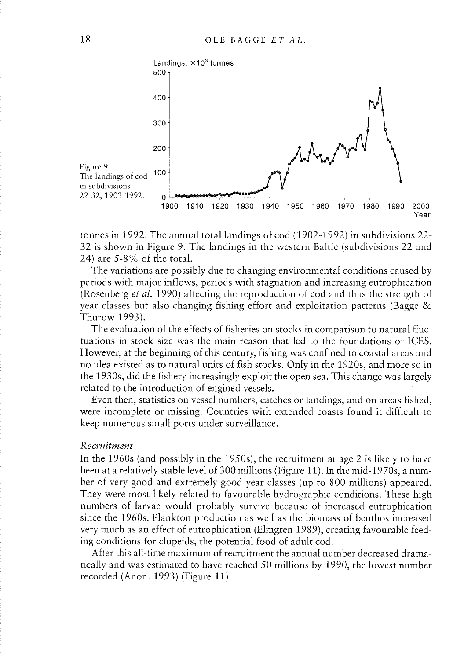

tonnes in 1992. The annual total landings of cod (1902-1992) in subdivisions 22- 32 is shown in Figure 9. The landings in the western Baltic (subdivisions 22 and 24) are 5-8% of the total.

The variations are possibly due to changing environmental conditions caused by periods with major inflows, periods with stagnation and increasing eutrophication (Rosenberg *et al.* 1990) affecting the reproduction of cod and thus the strength of year classes but also changing fishing effort and exploitation patterns (Bagge & Thurow 1993).

The evaluation of the effects of fisheries on stocks in comparison to natural fluc tuations in stock size was the main reasori that led to the foundations of ICES. However, at the beginning of this century, fishing was confined to coastal areas and no idea existed as to natural units of fish stocks. Only in the 1920s, and more so in the 1930s, did the fishery increasingly exploit the open sea. This change was largely related to the introduction of engined vessels.

Even then, statistics on vessel numbers, catches or landings, and on areas fished, were incomplete or missing. Countries with extended coasts found it difficult to keep numerous small ports under surveillance.

#### Recruitment

In the 1960s (and possibly in the 1950s), the recruitment at age 2 is likely to have been at a relatively stable level of 300 millions (Figure 11). In the mid-1970s, a num ber of very good and extremely good year classes (up to 800 millions) appeared. They were most likely related to favourable hydrographic conditions. These high numbers of larvae would probably survive because of increased eutrophication since the 1960s. Plankton production as well as the biomass of benthos increased very much as an effect of eutrophication (Elmgren 1989), creating favourable feed ing conditions for clupeids, the potential food of adult cod.

After this all-time maximum of recruitment the annual number decreased drama tically and was estimated to have reached 50 millions by 1990, the lowest number recorded (Anon. 1993) (Figure 11).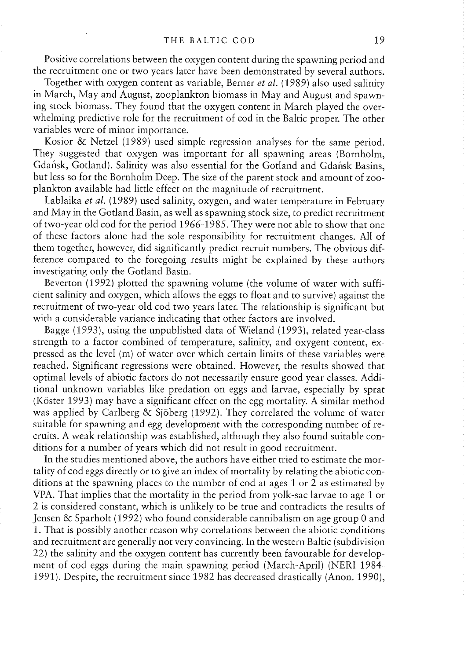Positive correlations between the oxygen content during the spawning period and the recruitment one or two years later have been demonstrated by several authors.

Together with oxygen content as variable, Berner et al. (1989) also used salinity in March, May and August, zooplankton biomass in May and August and spawn ing stock biomass. They found that the oxygen content in March played the over whelming predictive role for the recruitment of cod in the Baltic proper. The other variables were of minor importance.

Kosior & Netzel (1989) used simple regression analyses for the same period. They suggested that oxygen was important for ali spawning areas (Bornholm, Gdańsk, Gotland). Salinity was also essential for the Gotland and Gdańsk Basins, but less so for the Bornholm Deep. The size of the parent stock and amount of zoo plankton available had little effect on the magnitude of recruitment.

Lablaika et al. (1989) used salinity, oxygen, and water temperature in February and May in the Gotland Basin, as well as spawning stock size, to predict recruitment of two-year old cod for the period 1966-1985. They were not able to show that one of these factors alone had the sole responsibility for recruitment changes. Ali of them together, however, did significantly predict recruit numbers. The obvious dif ference compared to the foregoing results might be explained by these authors investigating only the Gotland Basin.

Beverton (1992) plotted the spawning volume (the volume of water with suffi cient salinity and oxygen, which allows the eggs to float and to survive) against the recruitment of two-year old cod two years later. The relationship is significant but with a considerable variance indicating that other factors are involved.

Bagge (1993), using the unpublished data of Wieland (1993), related year-class strength to <sup>a</sup> factor combined of temperature, salinity, and oxygent content, ex pressed as the levei (m) of water over which certain limits of these variables were reached. Significant regressions were obtained. However, the results showed that optimal levels of abiotic factors do not necessarily ensure good year classes. Additional unknown variables like predation on eggs and larvae, especially by sprat (Köster 1993) may have a significarit effect on the egg mortality. A similar method was applied by Carlberg & Sjöberg (1992). They correlated the volume of water suitable for spawning and egg development with the corresponding number of re cruits. A weak relationship was established, although they also found suitable con ditions for a number of years which did not result in good recruitment.

In the studies mentioned above, the authors have either tried to estimate the mor tality of cod eggs directly or to give an index of mortality by relating the abiotic con ditions at the spawning places to the number of cod at ages 1 or 2 as estimated by VPA. That implies that the mortality in the period from yolk-sac larvae to age  $1$  or 2 is considered constant, which is unlikely to be true and contradicts the results of Jensen & Sparholt (1992) who found considerable cannibalism on age group 0 and i. That is possibly another reason why correlations between the abiotic conditions and recruitment are generally not very convincing. In the western Baltic (subdivision 22) the salinity and the oxygen content has currently been favourable for develop ment of cod eggs during the main spawning period (March-April) (NERI 1984- 1991). Despite, the recruitment since 1982 has decreased drastically (Anon. 1990),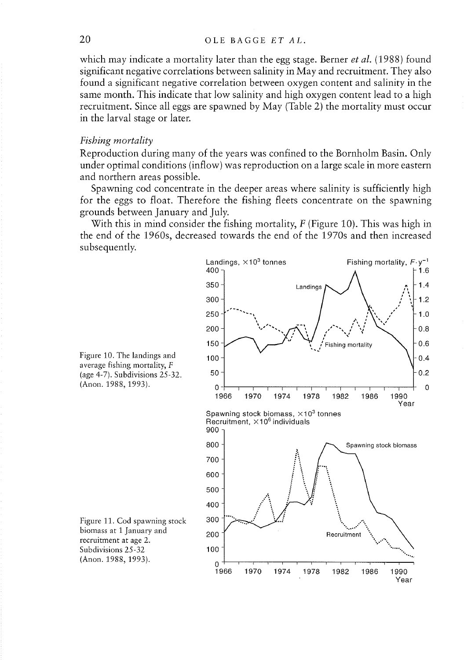which may indicate a mortality later than the egg stage. Berner *et al.* (1988) found significant negative correlations between salinity in May and recruitment. They also found a significant negative correlation between oxygen content and salinity in the same month. This indicate that low salinity and high oxygen content lead to a high recruitment. Since ali eggs are spawned by May (Table 2) the mortality must occur in the larval stage or later.

#### Fishing mortality

Reproduction during many of the years was confined to the Bornholm Basin. Only under optimal conditions (inflow) was reproduction on a large scale in more eastern and northern areas possibie.

Spawning cod concentrate in the deeper areas where salinity is sufficiently high for the eggs to float. Therefore the fishing fleets concentrate on the spawning grounds between January and July.

With this in mind consider the fishing mortality,  $F$  (Figure 10). This was high in the end of the 1960s, decreased towards the end of the 1970s and then increased subsequentiy.

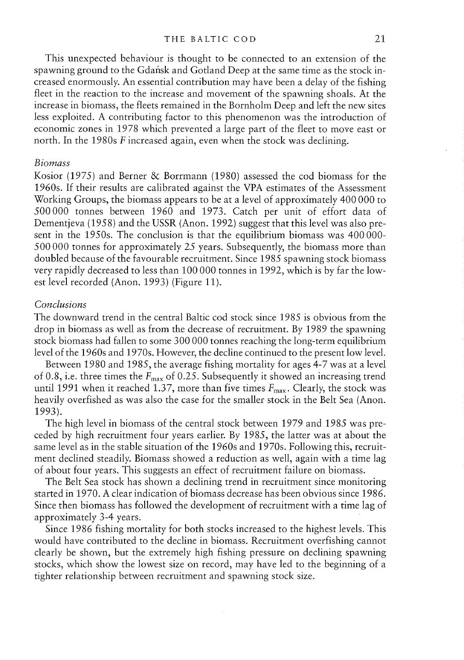This unexpected behaviour is thought to be connected to an extension of the spawning ground to the Gdafisk and Gotland Deep at the same time as the stock in creased enormously. An essential contribution may have been a delay of the fishing fleet in the reaction to the increase and movement of the spawning shoals. At the increase in biomass, the fleets remained in the Bornholm Deep and left the new sites less exploited. A contributing factor to this phenomenon was the introduction of economic zones in 1978 which prevented a large part of the fleet to move east or north. In the 1980s F increased again, even when the stock was declining.

#### **Biomass**

Kosior (1975) and Berner & Borrmann (1980) assessed the cod biomass for the 1960s. If their results are calibrated against the VPA estimates of the Assessment Working Groups, the biomass appears to be at a level of approximately 400 000 to 500000 tonnes between 1960 and 1973. Catch per unit of effort data of Dementjeva (1958) and the USSR (Anon. 1992) suggest that this level was also pre sent in the 1950s. The conclusion is that the equilibrium biomass was 400 000- 500 000 tonnes for approximately 25 years. Subsequently, the biomass more thari doubled because of the favourable recruitment. Since 1985 spawning stock biomass very rapidly decreased to less than 100 000 tonnes in 1992, which is by far the low est level recorded (Anon. 1993) (Figure 11).

#### Conclusions

The downward trend in the central Baltic cod stock since 1985 is obvious from the drop in biomass as well as from the decrease of recruitment. By 1989 the spawning stock biomass had fallen to some 300 000 tonnes reaching the long-term equilibrium level of the 1960s and 1970s. However, the decline continued to the present low level.

Between 1980 and 1985, the average fishing mortality for ages 4-7 was at a level of 0.8, i.e. three times the  $F_{\text{max}}$  of 0.25. Subsequently it showed an increasing trend until 1991 when it reached 1.37, more than five times  $F_{\text{max}}$ . Clearly, the stock was heavily overfished as was also the case for the smaller stock in the Belt Sea (Anon. 1993).

The high level in biomass of the central stock between 1979 and 1985 was pre ceded by high recruitment four years earlier. By 1985, the latter was at about the same level as in the stable situation of the 1960s and 1970s. Following this, recruit ment declined steadily. Biomass showed a reduction as well, again with a time lag of about four years. This suggests an effect of recruitment failure on biomass.

The Belt Sea stock has shown a declining trend in recruitment since monitoring started in 1970. A clear indication of biomass decrease has been obvious since 1986. Since then biomass has followed the development of recruitment with a time lag of approximately 3-4 years.

Since 1986 fishing mortality for both stocks increased to the highest levels. This would have contributed to the decline in biomass. Recruitment overfishing cannot clearly be shown, but the extremely high fishing pressure on declining spawning stocks, which show the lowest size on record, may have led to the beginning of a tighter relationship between recruitment and spawning stock size.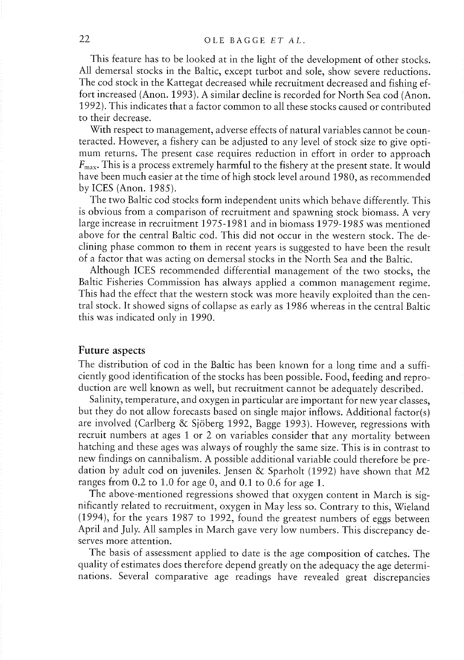This feature has to be looked at in the light of the development of other stocks. Ali demersal stocks in the Baltic, except turbot and sole, show severe reductions. The cod stock in the Kattegat decreased while recruitment decreased and fishing ef fort increased (Anon. 1993). A similar decline is recorded for North Sea cod (Anon. 1992). This indicates that a factor common to ali these stocks caused or contributed to their decrease.

With respect to management, adverse effects of natural variables cannot be coun teracted. However, <sup>a</sup> fishery can be adjusted to any level of stock size to give opti mum returns. The present case requires reduction in effort in order to approach  $F_{\text{max}}$ . This is a process extremely harmful to the fishery at the present state. It would have been much easier at the time of high stock level around 1980, as recommended by ICES (Anon. 1985).

The two Baitic cod stocks form independent units which behave differently. This is obvious from a comparison of recruitment and spawning stock biomass. A very large increase in recruitment 1975-1981 and in biomass 1979-1985 was mentioned above for the central Baltic cod. This did not occur in the western stock. The declining phase common to them in recent years is suggested to have been the result of <sup>a</sup> factor that was acting on demersai stocks in the North Sea and the Baltic.

Aithough ICES recommended differential management of the two stocks, the Baltic Fisheries Commission has always applied a common management regime. This had the effect that the western stock was more heavily exploited than the central stock. Tt showed signs of collapse as early as 1986 whereas in the central Baltic this was indicated only in 1990.

#### Future aspects

The distribution of cod in the Baltic has been known for a long time and a sufficientiy good identification of the stocks has been possibie. Food, feeding and repro duction are well known as well, but recruitment cannot be adequately described.

Salinity, temperature, and oxygen in particular are important for new year classes, but they do not allow forecasts based on single major inflows. Additional factor(s) are involved (Carlberg & Sjöberg 1992, Bagge 1993). However, regressions with recruit numbers at ages 1 or 2 on variables consider that any mortality between hatching and these ages was aiways of roughiy the same size. This is in contrast to new findings on cannibalism. A possible additional variable could therefore be pre dation by adult cod on juveniles. Jensen & Sparhoit (1992) have shown that M2 ranges from 0.2 to 1.0 for age 0, and 0.1 to 0.6 for age 1.

The above-mentioned regressions showed that oxygen content in March is sig nificantly related to recruitment, oxygen in May less so. Contrary to this, Wieland (1994), for the years 1987 to 1992, found the greatest numbers of eggs between April and July. Ali sampies in March gave very low numbers. This discrepancy de serves more attention.

The basis of assessment applied to date is the age composition of catches. The quality of estimates does therefore depend greatly on the adequacy the age determi nations. Severai comparative age readings have revealed great discrepancies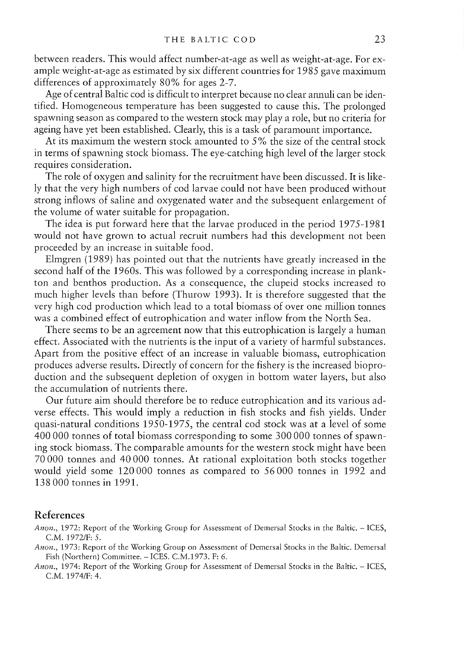between readers. This would affect number-at-age as well as weight-at-age. For ex ample weight-at-age as estimated by six different countries for 1985 gave maximum differences of approximately 80% for ages 2-7.

Age of central Baltic cod is difficult to interpret because no clear annuli can be iden tified. Homogeneous temperature has been suggested to cause this. The prolonged spawning season as compared to the western stock may play a role, but no criteria for ageing have yet been established. Clearly, this is a task of paramount importance.

At its maximum the western stock amounted to 5% the size of the central stock in terms of spawning stock biornass. The eye-catching high level of the larger stock requires consideration.

The role of oxygen and salinity for the recruitment have been discussed. It is likely that the very high numbers of cod larvae could not have been produced without strong inflows of salme and oxygenated water and the subsequent enlargement of the volume of water suitable for propagation.

The idea is put forward here that the larvae produced in the period 1975-1981 would not have grown to actual recruit numbers had this development not been proceeded by an increase in suitable food.

Elmgren (1989) has pointed out that the nutrients have greatly increased in the second half of the 1960s. This was followed by a corresponding increase in plankton and benthos production. As a consequence, the clupeid stocks increased to much higher levels than before (Thurow 1993). Tt is therefore suggested that the very high cod production which lead to a total biomass of over one million tonnes was a combined effect of eutrophication and water inflow from the North Sea.

There seems to be an agreement now that this eutrophication is largely a human effect. Associated with the nutrients is the input of a variety of harmful substances. Apart from the positive effect of an increase in valuable biomass, eutrophication produces adverse results. Directly of concern for the fishery is the increased bioproduction and the subsequent depletion of oxygen in bottom water layers, but also the accumulation of nutrients there.

Our future aim should therefore be to reduce eutrophication and its various ad verse effects. This would imply a reduction in fish stocks and fish yields. Under quasi-natural conditions 1950-1975, the central cod stock was at a level of some 400 000 tonnes of total biomass corresponding to some 300 000 tonnes of spawn ing stock biomass. The comparable amounts for the western stock might have been 70 000 tonnes and 40000 tonnes. At rational exploitation both stocks together would yield some 120000 tonnes as compared to 56000 tonnes in 1992 and 138 000 tonnes in 1991.

## References

Anon., 1972: Report of the Working Group for Assessment of Demersal Stocks in the Baltic. – ICES, C.M. 1972/F: 5.

Anon., 1973: Report of the Working Group on Assessment of Demersal Stocks in the Baltic. Demersal Fish (Northern) Comrnittee. — ICES. C.M.1973. F: 6.

Anon., 1974: Report of the Working Group for Assessment of Demersal Stocks in the Baltic. - ICES, C.M. 1974/F: 4.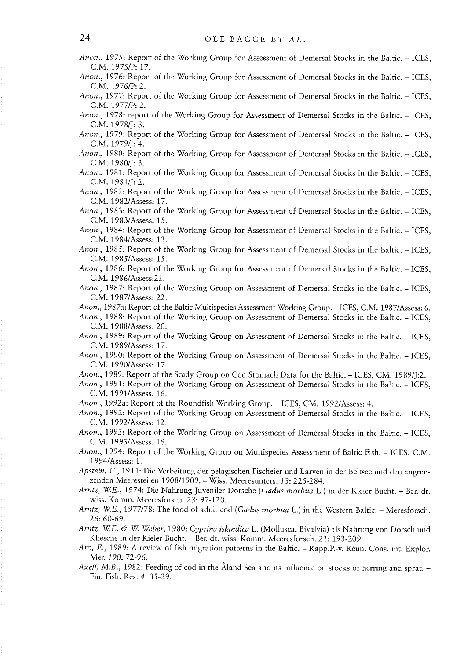## 24 OLE BAGGE ET AL.

Anon., 1975: Report of the Working Group for Assessment of Demersal Stocks in the Baltic. — ICES, C.M. 1975/P: 17.

Anon., 1976: Report of the Working Group for Assessmerit of Demersal Stocks in the Baltic. — ICES, C.M. 1976/P: 2.

Anon., 1977: Report of the Working Group for Assessment of Demersal Stocks in the Baltic. — ICES, C.M. 1977/P: 2.

Anon., 1978: report of the Working Group for Assessment of Demersal Stocks in the Baltic. — ICES, C.M. 1978/J: 3.

Anon., 1979: Report of the Working Group for Assessment of Demersal Stocks in the Baltic. – ICES, C.M. 1979/J: 4.

Anon., 1980: Report of the Working Group for Assessment of Demersal Stocks in the Baltic. — ICES, C.M. 1980/J: 3.

Anon., 1981: Report of the Working Group for Assessment of Demersal Stocks in the Baltic. — ICES, C.M. 1981/J: 2.

Anon., 1982: Report of the Working Group for Assessmerit of Demersal Stocks in the Baltic. — ICES, C.M. 1982/Assess: 17.

Anon., 1983: Report of the Working Group for Assessment of Demersal Stocks in the Baltic. — ICES, C.M. 1983/Assess: 15.

Anon., 1984: Report of the Working Group for Assessment of Demersal Stocks in the Baltic. - ICES, C.M. 1984/Assess: 13.

Anon., 1985: Report of the Working Group for Assessment of Demersal Stocks in the Baltic. - ICES, CM. 1985/Assess: 15.

Anon., 1986: Report of the Working Group for Assessment of Demersal Stocks in the Baltic. - ICES, C.M. 1986/Assess:21.

Anon., 1987: Report of the Working Group on Assessment of Demersal Stocks in the Baltic. — ICES, C.M. 1987/Assess: 22.

Anon., 1987a: Report of the Baltic Multispecies Assessment Working Group. — ICES, C.M. 1987/Assess: 6.

Anon., 1988: Report of the Working Group on Assessment of Demersal Stocks in the Baltic. - ICES, C.M. 1988/Assess: 20.

Anon., 1989: Report of the Working Group on Assessment of Demersal Stocks in the Baltic. – ICES, CM. 1989/Assess: 17.

Anon., 1990: Report of the Working Group on Assessment of Demersal Stocks in the Baltic. — ICES, CM. 1990/Assess: 17.

Anon., 1989: Report of the Study Group on Cod Stomach Data for the Baltic. — ICES, CM. 1989/J:2.

Anon., 1991: Report of the Working Group on Assessment of Demersal Stocks in the Baltic. — ICES, CM. 1991/Assess. 16.

Anon., 1992a: Report of the Roundfish Working Group. — ICES, CM. 1992/Assess: 4.

Anon., 1992: Report of the Working Group on Assessment of Demersal Stocks in the Baltic. — ICES, CM. 1992/Assess: 12.

Anon., 1993: Report of the Working Group on Assessment of Demersal Stocks in the Baltic. - ICES, C.M. 1993/Assess. 16.

Anon., 1994: Report of the Working Group on Multispecies Assessment of Baltic Fish. — ICES. C.M. 1994/Assess: 1.

Apstein, C., 1911: Die Verbeitung der pelagischen Fischeier und Larven in der Beltsee und den angrenzenden Meeresteilen 1908/1909. — Wiss. Meeresunters. 13: 225-284.

Arntz, WE., 1974: Die Nahrung Juveniler Dorsche (Gadus morhua L.) in der Kieler Bucht. — Ber. dt. wiss. Komm. Meeresforsch. 23: 97-120.

Arntz, WE., 1977/78: The food of adult cod (Gadus morhua L.) in the Western Baltic. — Meresforsch. 26: 60-69.

Arntz, W.E. & W. Weber, 1980: Cyprina islandica L. (Mollusca, Bivalvia) als Nahrung von Dorsch und Kliesche in der Kieler Bucht. — Ber. dt. wiss. Komm. Meeresforsch. 21: 193-209.

Aro, E., 1989: A review of fish migration patterns in the Baltic. — Rapp.P.-v. Réun. Cons. int. Explor. Mer. 190: 72-96.

Axell, M.B., 1982: Feeding of cod in the Aland Sea and its influence on stocks of herring and sprat. -Fin. Fish. Res. 4: 35-39.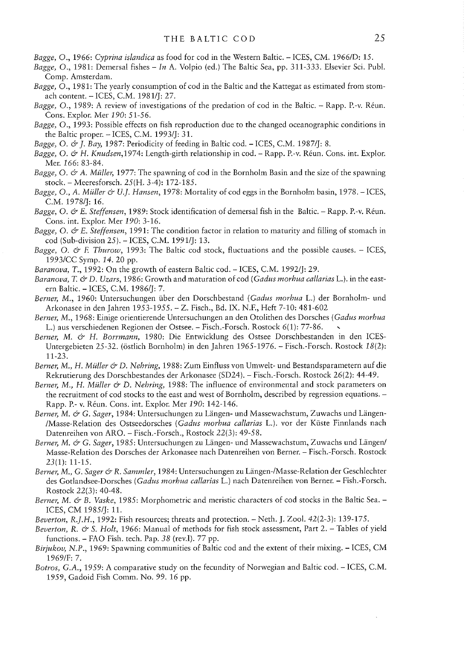- Bagge, 0., 1966: Cyprina islandica as food for cod in the Western Baltic. ICES, CM. 1966/D: 15.
- Bagge, O., 1981: Demersal fishes In A. Volpio (ed.) The Baltic Sea, pp. 311-333. Elsevier Sci. Publ. Comp. Amsterdam.
- Bagge,  $O_{1}$ , 1981: The yearly consumption of cod in the Baltic and the Kattegat as estimated from stomach content. — ICES, C.M. 1981/J: 27.
- Bagge, 0., 1989: <sup>A</sup> review of investigations of the predation of cod in the Baltic. Rapp. P.-v. Réun. Cons. Explor. Mer 190: 51-56.
- Bagge, O., 1993: Possible effects on fish reproduction due to the changed oceanographic conditions in the Baltic proper. - ICES, C.M. 1993/J: 31.
- Bagge, O. & J. Bay, 1987: Periodicity of feeding in Baltic cod. ICES, C.M. 1987/J: 8.
- Bagge, O. & H. Knudsen, 1974: Length-girth relationship in cod. Rapp. P.-v. Réun. Cons. int. Explor. Mer. 166: 83-84.
- Bagge, O. & A. Müller, 1977: The spawning of cod in the Bornholm Basin and the size of the spawning stock. — Meeresforsch. 25(H. 3-4): 172-185.
- Bagge, O., A. Müller  $\dot{\varphi}$  U.J. Hansen, 1978: Mortality of cod eggs in the Bornholm basin, 1978. ICES, CM. 1978/J: 16.
- Bagge, O. & E. Steffensen, 1989: Stock identification of demersal fish in the Baltic. Rapp. P.-v. Réun. Cons. int. Explor. Mer 190: 3-16.
- Bagge, O.  $\dot{\sigma}$  E. Steffensen, 1991: The condition factor in relation to maturity and filling of stomach in cod (Sub-division 25). — ICES, CM. 1991/J: 13.
- Bagge, O.  $\dot{\varphi}$  F. Thurow, 1993: The Baltic cod stock, fluctuations and the possible causes. ICES, 1993/CC Symp. 14. 20 pp.
- Baranova, T., 1992: On the growth of eastern Baltic cod. ICES, C.M. 1992/J: 29.
- Baranova, T. & D. Uzars, 1986: Growth and maturation of cod (Gadus morhua callarias L.). in the eastern Baltic. — ICES, C.M. 1986/J: 7.
- Berner, M., 1960: Untersuchungen über den Dorschbestand (Gadus morhua L.) der Bornholm- und Arkonasee in den Jahren 1953-1955. — Z. Fisch., Bd. IX. N.F., Heft 7-10: 481-602
- Berner, M., 1968: Einige orientierende Untersuchungen an den Otolithen des Dorsches (Gadus morhua L.) aus verschiedenen Regionen der Ostsee. — Fisch.-Forsch. Rostock 6(1): 77-86.
- Berner, M. & H. Borrmann, 1980: Die Entwicklung des Ostsee Dorschbestanden in den ICES-Untergebieten 25-32. (östlich Bornholm) inden Jahren 1965-1976. — Fisch.-Forsch. Rostock 18(2): 11-23.
- Berner, M., H. Müller & D. Nehring, 1988: Zum Einfluss von Umwelt- und Bestandsparametern auf die Rekrutierung des Dorschbestandes der Arkonasee (5D24). — Fisch.-Forsch. Rostock 26(2): 44-49.
- Berner, M., H. Müller  $\mathcal O$  D. Nehring, 1988: The influence of environmental and stock parameters on the recruitment of cod stocks to the east and west of Bornholm, described by regression equations. — Rapp. P.- v. Réun. Cons. int. Explor. Mer 190: 142-146.
- Berner, M. & G. Sager, 1984: Untersuchungen zu Längen- und Massewachstum, Zuwachs und Längen-/Masse-Relation des Ostseedorsches (Gadus morhua callarias L.). vor der Küste Finnlands nach Datenreihen von ARO. — Fisch.-Forsch., Rostock 22(3): 49-58.
- Berner, M. & G. Sager, 1985: Untersuchungen zu Längen- und Massewachstum, Zuwachs und Längen/ Masse-Relation des Dorsches der Arkonasee nach Datenreihen von Bernei — Fisch.-Forsch. Rostock 23(1): 11-15.
- Berner, M., G. Sager & R. Sammler, 1984: Untersuchungen zu Längen-/Masse-Relation der Geschlechter des Gotlandsee-Dorsches (Gadus morhua callarias L.) nach Datenreihen von Berner. — Fish.-Forsch. Rostock 22(3): 40-48.
- Berner, M. & B. Vaske, 1985: Morphometric and meristic characters of cod stocks in the Baltic Sea. -ICES, CM 1985/J: 11.
- Beverton, R.J.H., 1992: Fish resources; threats and protection. Neth. J. Zool. 42(2-3): 139-175.
- Beverton, R. & S. Holt, 1966: Manual of methods for fish stock assessment, Part 2. Tables of yield functions. — FAO Fish. tech. Pap. 38 (rev.I). 77 pp.
- Birjukov, N.P., 1969: Spawning communities of Baltic cod and the extent of their mixing. ICES, CM 1969fF: 7.
- Botros, G.A., 1959: A comparative study on the fecundity of Norwegian and Baltic cod. ICES, CM. 1959, Gadoid Fish Comm. No. 99. 16 pp.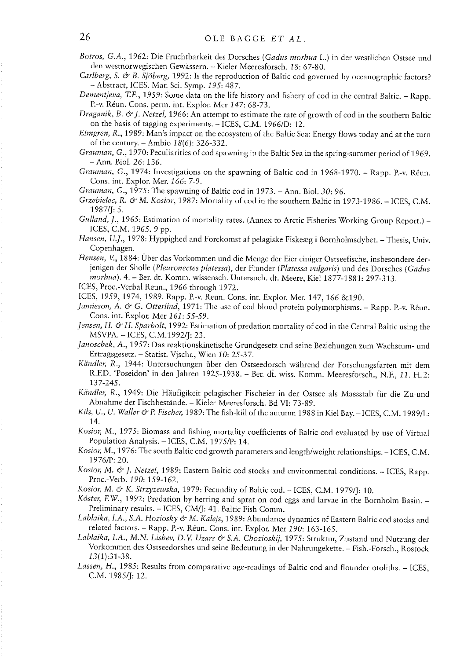Botros, G.A., 1962: Die Fruchtbarkeit des Dorsches (Gadus morhua L.) in der westlichen Ostsee und den westnorwegischen Gewässern. — Kieler Meeresforsch. 18: 67-80.

Carlberg, S. & B. Sjöberg, 1992: Is the reproduction of Baltic cod governed by oceanographic factors? - Abstract, ICES. Mar. Sci. Symp. 195: 487.

- Dementjeva, T.F., 1959: Some data on the life history and fishery of cod in the central Baltic. Rapp. P.-v. Réun. Cons. perm. int. Explor. Mer 147: 68-73.
- Draganik, B. & J. Netzel, 1966: An attempt to estimate the rate of growth of cod in the southern Baltic on the basis of tagging experiments. - ICES, C.M. 1966/D: 12.

Elmgren, R., 1989: Man's impact on the ecosystem of the Baltic Sea: Energy flows today and at the turn of the century.  $-$  Ambio 18(6): 326-332.

Grauman, G., 1970: Peculiarities of cod spawning in the Baltic Sea in the spring-summer period of 1969. — Ann. Bio!. 26: 136.

Grauman, G., 1974: Investigations on the spawning of Baltic cod in 1968-1970. – Rapp. P.-v. Réun. Cons. int. Explor. Mer. 166: 7-9.

Grauman, G., 1975: The spawning of Baltic cod in 1973. – Ann. Biol. 30: 96.

Grzebielec, R. & M. Kosior, 1987: Mortality of cod in the southern Baltic in 1973-1986. - ICES, C.M. 1987/J: 5.

Gulland, J., 1965: Estimation of mortality rates. (Annex to Arctic Fisheries Working Group Report.) -ICES, C.M. 1965. 9 pp.

Hansen, U.J., 1978: Hyppighed and Forekomst af pelagiske Fiskeæg i Bornholmsdybet. - Thesis, Univ. Copenhagen.

Hensen, V, 1884: Uber das Vorkommen und die Menge der Eier einiger Ostseefische, insbesondere der jenigen der Sholle (Pleuronectes platessa), der Flunder (Platessa vulgaris) und des Dorsches (Gadus morhua). 4. - Ber. dt. Komm. wissensch. Untersuch. dt. Meere, Kiel 1877-1881: 297-313.

ICES, Proc.-Verbal Reun., 1966 through 1972.

ICES, 1959, 1974, 1989. Rapp. P.-v. Reun. Cons. int. Explor. Mer. 147, 166 &190.

Jamieson, A. & G. Otterlind, 1971: The use of cod blood protein polymorphisms. - Rapp. P.-v. Réun. Cons. int. Explor. Mer 161: 55-59.

Jensen, H. & H. Sparholt, 1992: Estimation of predation mortality of cod in the Central Baltic using the MSVPA. — ICES, C.M.19921J: 23.

janoschek, A., 1957: Das reaktionskinetische Grundgesetz und seine Beziehungen zum Wachstum- und Ertragsgesetz. — Statist. Vjschr., Wien 10: 25-37.

Kändler, R., 1944: Untersuchungen über den Ostseedorsch während der Forschungsfarten mit dem R.F.D. 'Poseidon' in den Jahren 1925-1938. - Ber. dt. wiss. Komm. Meeresforsch., N.F., 11. H.2: 137-245.

Kändler, R., 1949: Die Häufigikeit pelagischer Fischeier in der Ostsee als Massstab für die Zu-und Abnahme der Fischbestånde. — Kieler Meeresforsch. Bd VI: 73-89.

Kils, U., U. Waller & P. Fischer, 1989: The fish-kill of the autumn 1988 in Kiel Bay. - ICES, C.M. 1989/L: 14.

Kosior, M., 1975: Biomass and fishing mortality coefficients of Baltic cod evaluated by use of Virtual Population Analysis. - ICES, C.M. 1975/P: 14.

Kosior, M., 1976: The south Baltic cod growth parameters and length/weight relationships. - ICES, C.M. 1976/P: 20.

Kosior, M. & J. Netzel, 1989: Eastern Baltic cod stocks and environmental conditions. - ICES, Rapp. Proc.-Verb. 190: 159-162.

Kosior, M. & K. Strzyzewska, 1979: Fecundity of Baltic cod. - ICES, C.M. 1979/J: 10.

Köster, F.W., 1992: Predation by herring and sprat on cod eggs and larvae in the Bornholm Basin. -Preliminary resuits. — ICES, CM/J: 41. Baltic Fish Comm.

Lablaika, I.A., S.A. Hoziosky & M. Kalejs, 1989: Abundance dynamics of Eastern Baltic cod stocks and related factors. — Rapp. P.-v. Réun. Cons. int. Explor. Mer 190: 163-165.

Lablaika, I.A., M.N. Lishev, D.V. Uzars & S.A. Chozioskij, 1975: Struktur, Zustand und Nutzung der Vorkommen des Ostseedorshes und seine Bedeutung in der Nahrungekette. — Fish.-Forsch., Rostock 13(1):31-38.

Lassen, H., 1985: Results from comparative age-readings of Baltic cod and flounder otoliths. - ICES, C.M. 1985/J: 12.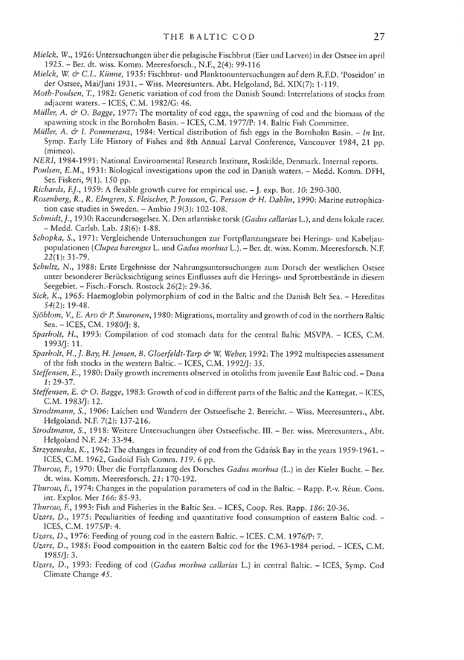- Mielck, W,, 1926: Untersuchungen ilber die pelagische Fischbrut (Ejer und Larven) in der Ostsee im april 1925.— Ber. dt. wiss. Komm. Meeresforsch., N.E, 2(4): 99-116
- Mielck, W. & C.L. Künne, 1935: Fischbrut- und Planktonuntersuchungen auf dem R.F.D. 'Poseidon' in der Ostsee, Mai/Juni 1931. - Wiss. Meeresunters. Abt. Helgoland, Bd. XIX(7): 1-119.
- Moth-Poulsen, T, 1982: Genetic variation of cod from the Danish Sound: lnterrelations of stocks from adjacent waters. - ICES, C.M. 1982/G: 46.
- Müller, A. & O. Bagge, 1977: The mortality of cod eggs, the spawning of cod and the biomass of the spawning stock in the Bornholm Basin. — ICES, C.M. 1977/P: 14. Baltic Fish Committee.
- *Müller*, A.  $\dot{\varphi}$  I. Pommeranz, 1984: Vertical distribution of fish eggs in the Bornholm Basin. In Int. Symp. Early Life History of Fishes and Sth Annual Larval Conference, Vancouver 1984, 21 pp. (mimeo).

NERI, 1984-1991: National Environmental Research Institute, Roskilde, Denmark. Internal reports.

- Poulsen, E.M., 1931: Biological investigations upon the cod in Danish waters. Medd. Komm. DFH, Sec Fiskeri, 9(l). 150 pp.
- Richards, EJ., 1959: <sup>A</sup> flexible growth curve for empirical use. —J. exp. Bot. 10: 290-300.
- Rosenberg, R., R. Elmgren, S. Fleischer, P. Jonsson, G. Persson & H. Dahlin, 1990: Marine eutrophication case studies in Sweden. — Ambio 19(3): 102-108.
- Schmidt, J., 1930: Raceundersøgelser. X. Den atlantiske torsk (Gadus callarias L.), and dens lokale racer. — Medd. Carlsb. Lab. 18(6): 1-88.
- Schopka, S., 1971: Vergleichende Untersuchungen zur Fortpflanzungsrate bei Herings- und Kabeljaupopulationen (Clupea harengus L. und Gadus morhua L.). - Ber. dt. wiss. Komm. Meeresforsch. N.F. 22(1): 31-79.
- Schultz, N., 1988: Erste Ergebnisse der Nahrungsuntersuchungen zum Dorsch der westlichen Ostsee unter besonderer Berücksichtigung seines Einflusses auft die Herings- und Sprottbestände in diesem Seegebiet. — Fisch.-Forsch. Rostock 26(2): 29-36.
- Sick, K., 1965: Haemoglobin polymorphism of cod in the Baltic and the Danish Belt Sea. Hereditas 54(2): 19-48.
- Sjöblom, V., E. Aro & P. Suuronen, 1980: Migrations, mortality and growth of cod in the northern Baltic Sea. — ICES. CM. 1980/J: 8.
- Sparholt, H., 1993: Compilation of cod stomach data for the central Baltic MSVPA. ICES, C.M. 1993/i: 11.
- Sparholt, H., J. Bay, H. Jensen, B. Gloerfeldt-Tarp & W. Weber, 1992: The 1992 multispecies assessment of the fish stocks in the western Baltic. — ICES, C.M. 1992/J: 35.
- Steffensen, E., 1980: Daily growth increments observed in otoliths from juvenile East Baltic cod. Dana i: 29-37.
- Steffensen, E. & O. Bagge, 1983: Growth of cod in different parts of the Baltic and the Kattegat. ICES, CM. 1983/J: 12.
- Strodtmann, 5., 1906: Laichen und Wandern der Ostseefische 2. Bereicht. Wiss. Meeresunters., Abt. Helgoland. N.F. 7(2): 137-216.
- Strodtmann, 5., 1918: Weitere Untersuchungen iiber Ostseefische. Ill. Ber. wiss. Meeresunters., Abt. Helgoland N.F. 24: 33-94.
- Strzyzewska, K., 1962: The changes in fecundity of cod from the Gdańsk Bay in the years 1959-1961. -ICES, C.M. 1962, Gadoid Fish Comm. 119. 6 pp.
- Thurow, F., 1970: Über die Fortpflanzung des Dorsches Gadus morhua (L.) in der Kieler Bucht. Ber. dr. wiss. Komm. Meeresforsch. 21: 170-192.
- Thurow, E, 1974: Changes in the population parameters of cod in the Baltic. Rapp. P.-v. Réun. Cons. int. Explor. Mer 166: 85-93.
- Thurow, E, 1993: Fish and Fisheries in the Baltic Sea. ICES, Coop. Res. Rapp. 186: 20-36.
- Uzars, D., 1975: Peculiarities of feeding and quantitative food consumption of eastern Baltic cod. -ICES, C.M. 1975/P: 4.
- Uzars, D., 1976: Feeding of young cod in the eastern Baltic. —ICES. C.M. 1976/P: 7.
- Uzars, D., 1985: Food composition in the eastern Baltic cod for the 1963-1984 period. ICES, C.M. 1985/J: 3.
- Uzars, D., 1993: Feeding of cod (Gadus morhua callarias L.) in central Baltic. ICES, Symp. Cod Climate Change 45.